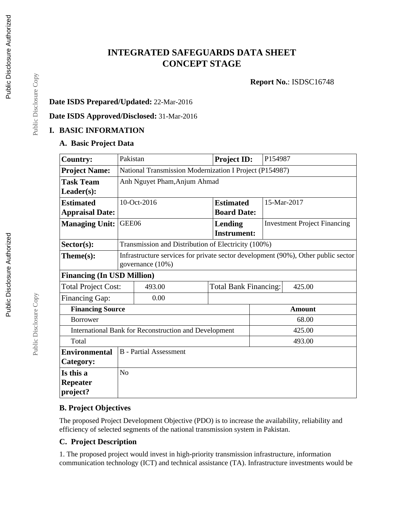# **INTEGRATED SAFEGUARDS DATA SHEET CONCEPT STAGE**

**Report No.**: ISDSC16748

## **Date ISDS Prepared/Updated:** 22-Mar-2016

**Date ISDS Approved/Disclosed:** 31-Mar-2016

## **I. BASIC INFORMATION**

#### **A. Basic Project Data**

| <b>Country:</b>                                       | Pakistan                                                                                              |                                                     | <b>Project ID:</b>           | P154987       |                                     |  |  |  |
|-------------------------------------------------------|-------------------------------------------------------------------------------------------------------|-----------------------------------------------------|------------------------------|---------------|-------------------------------------|--|--|--|
| <b>Project Name:</b>                                  | National Transmission Modernization I Project (P154987)                                               |                                                     |                              |               |                                     |  |  |  |
| <b>Task Team</b>                                      | Anh Nguyet Pham, Anjum Ahmad                                                                          |                                                     |                              |               |                                     |  |  |  |
| Leader(s):                                            |                                                                                                       |                                                     |                              |               |                                     |  |  |  |
| <b>Estimated</b>                                      |                                                                                                       | 10-Oct-2016                                         | <b>Estimated</b>             |               | 15-Mar-2017                         |  |  |  |
| <b>Appraisal Date:</b>                                |                                                                                                       |                                                     | <b>Board Date:</b>           |               |                                     |  |  |  |
| <b>Managing Unit:</b>                                 | GEE06                                                                                                 |                                                     | <b>Lending</b>               |               | <b>Investment Project Financing</b> |  |  |  |
|                                                       |                                                                                                       |                                                     | <b>Instrument:</b>           |               |                                     |  |  |  |
| $Sector(s)$ :                                         |                                                                                                       | Transmission and Distribution of Electricity (100%) |                              |               |                                     |  |  |  |
| Theme(s):                                             | Infrastructure services for private sector development (90%), Other public sector<br>governance (10%) |                                                     |                              |               |                                     |  |  |  |
| <b>Financing (In USD Million)</b>                     |                                                                                                       |                                                     |                              |               |                                     |  |  |  |
| <b>Total Project Cost:</b>                            |                                                                                                       | 493.00                                              | <b>Total Bank Financing:</b> |               | 425.00                              |  |  |  |
| Financing Gap:                                        |                                                                                                       | 0.00                                                |                              |               |                                     |  |  |  |
| <b>Financing Source</b>                               |                                                                                                       |                                                     |                              | <b>Amount</b> |                                     |  |  |  |
| <b>Borrower</b>                                       |                                                                                                       |                                                     |                              |               | 68.00                               |  |  |  |
| International Bank for Reconstruction and Development |                                                                                                       |                                                     |                              |               | 425.00                              |  |  |  |
| Total                                                 |                                                                                                       |                                                     |                              |               | 493.00                              |  |  |  |
| <b>Environmental</b>                                  | <b>B</b> - Partial Assessment                                                                         |                                                     |                              |               |                                     |  |  |  |
| Category:                                             |                                                                                                       |                                                     |                              |               |                                     |  |  |  |
| Is this a                                             | N <sub>o</sub>                                                                                        |                                                     |                              |               |                                     |  |  |  |
| <b>Repeater</b>                                       |                                                                                                       |                                                     |                              |               |                                     |  |  |  |
| project?                                              |                                                                                                       |                                                     |                              |               |                                     |  |  |  |

## **B. Project Objectives**

The proposed Project Development Objective (PDO) is to increase the availability, reliability and efficiency of selected segments of the national transmission system in Pakistan.

#### **C. Project Description**

1. The proposed project would invest in high-priority transmission infrastructure, information communication technology (ICT) and technical assistance (TA). Infrastructure investments would be

Public Disclosure Copy

Public Disclosure Copy

Public Disclosure Copy

Public Disclosure Copy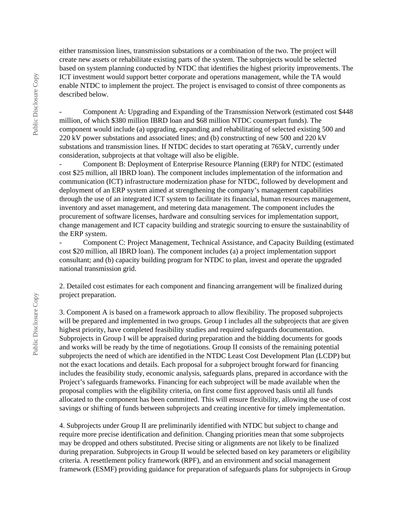either transmission lines, transmission substations or a combination of the two. The project will create new assets or rehabilitate existing parts of the system. The subprojects would be selected based on system planning conducted by NTDC that identifies the highest priority improvements. The ICT investment would support better corporate and operations management, while the TA would enable NTDC to implement the project. The project is envisaged to consist of three components as described below.

Component A: Upgrading and Expanding of the Transmission Network (estimated cost \$448) million, of which \$380 million IBRD loan and \$68 million NTDC counterpart funds). The component would include (a) upgrading, expanding and rehabilitating of selected existing 500 and 220 kV power substations and associated lines; and (b) constructing of new 500 and 220 kV substations and transmission lines. If NTDC decides to start operating at 765kV, currently under consideration, subprojects at that voltage will also be eligible.

- Component B: Deployment of Enterprise Resource Planning (ERP) for NTDC (estimated cost \$25 million, all IBRD loan). The component includes implementation of the information and communication (ICT) infrastructure modernization phase for NTDC, followed by development and deployment of an ERP system aimed at strengthening the company's management capabilities through the use of an integrated ICT system to facilitate its financial, human resources management, inventory and asset management, and metering data management. The component includes the procurement of software licenses, hardware and consulting services for implementation support, change management and ICT capacity building and strategic sourcing to ensure the sustainability of the ERP system.

- Component C: Project Management, Technical Assistance, and Capacity Building (estimated cost \$20 million, all IBRD loan). The component includes (a) a project implementation support consultant; and (b) capacity building program for NTDC to plan, invest and operate the upgraded national transmission grid.

2. Detailed cost estimates for each component and financing arrangement will be finalized during project preparation.

3. Component A is based on a framework approach to allow flexibility. The proposed subprojects will be prepared and implemented in two groups. Group I includes all the subprojects that are given highest priority, have completed feasibility studies and required safeguards documentation. Subprojects in Group I will be appraised during preparation and the bidding documents for goods and works will be ready by the time of negotiations. Group II consists of the remaining potential subprojects the need of which are identified in the NTDC Least Cost Development Plan (LCDP) but not the exact locations and details. Each proposal for a subproject brought forward for financing includes the feasibility study, economic analysis, safeguards plans, prepared in accordance with the Project's safeguards frameworks. Financing for each subproject will be made available when the proposal complies with the eligibility criteria, on first come first approved basis until all funds allocated to the component has been committed. This will ensure flexibility, allowing the use of cost savings or shifting of funds between subprojects and creating incentive for timely implementation.

4. Subprojects under Group II are preliminarily identified with NTDC but subject to change and require more precise identification and definition. Changing priorities mean that some subprojects may be dropped and others substituted. Precise siting or alignments are not likely to be finalized during preparation. Subprojects in Group II would be selected based on key parameters or eligibility criteria. A resettlement policy framework (RPF), and an environment and social management framework (ESMF) providing guidance for preparation of safeguards plans for subprojects in Group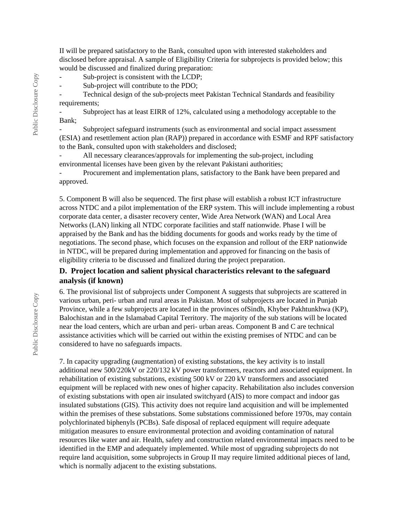II will be prepared satisfactory to the Bank, consulted upon with interested stakeholders and disclosed before appraisal. A sample of Eligibility Criteria for subprojects is provided below; this would be discussed and finalized during preparation:

Sub-project is consistent with the LCDP;

- Sub-project will contribute to the PDO;

- Technical design of the sub-projects meet Pakistan Technical Standards and feasibility requirements:

Subproject has at least EIRR of 12%, calculated using a methodology acceptable to the Bank;

- Subproject safeguard instruments (such as environmental and social impact assessment (ESIA) and resettlement action plan (RAP)) prepared in accordance with ESMF and RPF satisfactory to the Bank, consulted upon with stakeholders and disclosed;

- All necessary clearances/approvals for implementing the sub-project, including environmental licenses have been given by the relevant Pakistani authorities;

Procurement and implementation plans, satisfactory to the Bank have been prepared and approved.

5. Component B will also be sequenced. The first phase will establish a robust ICT infrastructure across NTDC and a pilot implementation of the ERP system. This will include implementing a robust corporate data center, a disaster recovery center, Wide Area Network (WAN) and Local Area Networks (LAN) linking all NTDC corporate facilities and staff nationwide. Phase I will be appraised by the Bank and has the bidding documents for goods and works ready by the time of negotiations. The second phase, which focuses on the expansion and rollout of the ERP nationwide in NTDC, will be prepared during implementation and approved for financing on the basis of eligibility criteria to be discussed and finalized during the project preparation.

#### **D. Project location and salient physical characteristics relevant to the safeguard analysis (if known)**

6. The provisional list of subprojects under Component A suggests that subprojects are scattered in various urban, peri- urban and rural areas in Pakistan. Most of subprojects are located in Punjab Province, while a few subprojects are located in the provinces ofSindh, Khyber Pakhtunkhwa (KP), Balochistan and in the Islamabad Capital Territory. The majority of the sub stations will be located near the load centers, which are urban and peri- urban areas. Component B and C are technical assistance activities which will be carried out within the existing premises of NTDC and can be considered to have no safeguards impacts.

7. In capacity upgrading (augmentation) of existing substations, the key activity is to install additional new 500/220kV or 220/132 kV power transformers, reactors and associated equipment. In rehabilitation of existing substations, existing 500 kV or 220 kV transformers and associated equipment will be replaced with new ones of higher capacity. Rehabilitation also includes conversion of existing substations with open air insulated switchyard (AIS) to more compact and indoor gas insulated substations (GIS). This activity does not require land acquisition and will be implemented within the premises of these substations. Some substations commissioned before 1970s, may contain polychlorinated biphenyls (PCBs). Safe disposal of replaced equipment will require adequate mitigation measures to ensure environmental protection and avoiding contamination of natural resources like water and air. Health, safety and construction related environmental impacts need to be identified in the EMP and adequately implemented. While most of upgrading subprojects do not require land acquisition, some subprojects in Group II may require limited additional pieces of land, which is normally adjacent to the existing substations.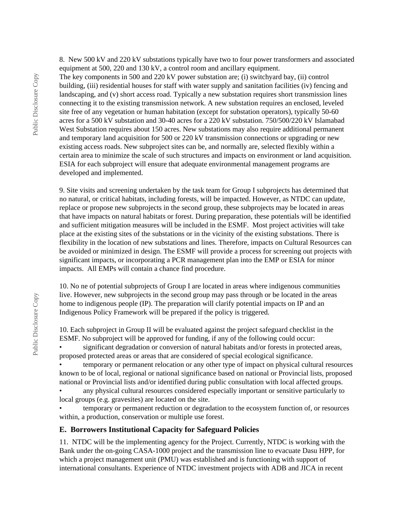8. New 500 kV and 220 kV substations typically have two to four power transformers and associated equipment at 500, 220 and 130 kV, a control room and ancillary equipment.

The key components in 500 and 220 kV power substation are; (i) switchyard bay, (ii) control building, (iii) residential houses for staff with water supply and sanitation facilities (iv) fencing and landscaping, and (v) short access road. Typically a new substation requires short transmission lines connecting it to the existing transmission network. A new substation requires an enclosed, leveled site free of any vegetation or human habitation (except for substation operators), typically 50-60 acres for a 500 kV substation and 30-40 acres for a 220 kV substation. 750/500/220 kV Islamabad West Substation requires about 150 acres. New substations may also require additional permanent and temporary land acquisition for 500 or 220 kV transmission connections or upgrading or new existing access roads. New subproject sites can be, and normally are, selected flexibly within a certain area to minimize the scale of such structures and impacts on environment or land acquisition. ESIA for each subproject will ensure that adequate environmental management programs are developed and implemented.

9. Site visits and screening undertaken by the task team for Group I subprojects has determined that no natural, or critical habitats, including forests, will be impacted. However, as NTDC can update, replace or propose new subprojects in the second group, these subprojects may be located in areas that have impacts on natural habitats or forest. During preparation, these potentials will be identified and sufficient mitigation measures will be included in the ESMF. Most project activities will take place at the existing sites of the substations or in the vicinity of the existing substations. There is flexibility in the location of new substations and lines. Therefore, impacts on Cultural Resources can be avoided or minimized in design. The ESMF will provide a process for screening out projects with significant impacts, or incorporating a PCR management plan into the EMP or ESIA for minor impacts. All EMPs will contain a chance find procedure.

10. No ne of potential subprojects of Group I are located in areas where indigenous communities live. However, new subprojects in the second group may pass through or be located in the areas home to indigenous people (IP). The preparation will clarify potential impacts on IP and an Indigenous Policy Framework will be prepared if the policy is triggered.

10. Each subproject in Group II will be evaluated against the project safeguard checklist in the ESMF. No subproject will be approved for funding, if any of the following could occur:

• significant degradation or conversion of natural habitats and/or forests in protected areas, proposed protected areas or areas that are considered of special ecological significance.

• temporary or permanent relocation or any other type of impact on physical cultural resources known to be of local, regional or national significance based on national or Provincial lists, proposed national or Provincial lists and/or identified during public consultation with local affected groups.

• any physical cultural resources considered especially important or sensitive particularly to local groups (e.g. gravesites) are located on the site.

• temporary or permanent reduction or degradation to the ecosystem function of, or resources within, a production, conservation or multiple use forest.

#### **E. Borrowers Institutional Capacity for Safeguard Policies**

11. NTDC will be the implementing agency for the Project. Currently, NTDC is working with the Bank under the on-going CASA-1000 project and the transmission line to evacuate Dasu HPP, for which a project management unit (PMU) was established and is functioning with support of international consultants. Experience of NTDC investment projects with ADB and JICA in recent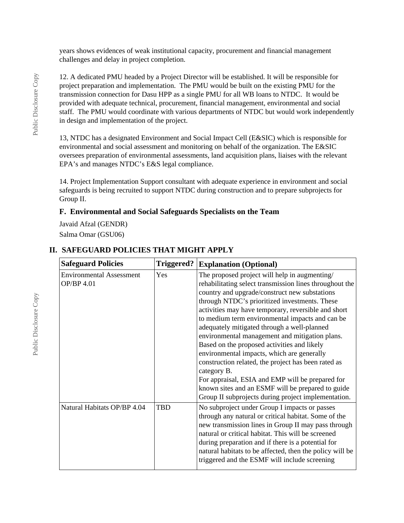years shows evidences of weak institutional capacity, procurement and financial management challenges and delay in project completion.

12. A dedicated PMU headed by a Project Director will be established. It will be responsible for project preparation and implementation. The PMU would be built on the existing PMU for the transmission connection for Dasu HPP as a single PMU for all WB loans to NTDC. It would be provided with adequate technical, procurement, financial management, environmental and social staff. The PMU would coordinate with various departments of NTDC but would work independently in design and implementation of the project.

13, NTDC has a designated Environment and Social Impact Cell (E&SIC) which is responsible for environmental and social assessment and monitoring on behalf of the organization. The E&SIC oversees preparation of environmental assessments, land acquisition plans, liaises with the relevant EPA's and manages NTDC's E&S legal compliance.

14. Project Implementation Support consultant with adequate experience in environment and social safeguards is being recruited to support NTDC during construction and to prepare subprojects for Group II.

#### **F. Environmental and Social Safeguards Specialists on the Team**

Javaid Afzal (GENDR) Salma Omar (GSU06)

| <b>Safeguard Policies</b>                     | <b>Triggered?</b> | <b>Explanation (Optional)</b>                                                                                                                                                                                                                                                                                                                                                                                                                                                                                                                                                                                                                                                                                                                            |
|-----------------------------------------------|-------------------|----------------------------------------------------------------------------------------------------------------------------------------------------------------------------------------------------------------------------------------------------------------------------------------------------------------------------------------------------------------------------------------------------------------------------------------------------------------------------------------------------------------------------------------------------------------------------------------------------------------------------------------------------------------------------------------------------------------------------------------------------------|
| <b>Environmental Assessment</b><br>OP/BP 4.01 | Yes               | The proposed project will help in augmenting/<br>rehabilitating select transmission lines throughout the<br>country and upgrade/construct new substations<br>through NTDC's prioritized investments. These<br>activities may have temporary, reversible and short<br>to medium term environmental impacts and can be<br>adequately mitigated through a well-planned<br>environmental management and mitigation plans.<br>Based on the proposed activities and likely<br>environmental impacts, which are generally<br>construction related, the project has been rated as<br>category B.<br>For appraisal, ESIA and EMP will be prepared for<br>known sites and an ESMF will be prepared to guide<br>Group II subprojects during project implementation. |
| Natural Habitats OP/BP 4.04                   | <b>TBD</b>        | No subproject under Group I impacts or passes<br>through any natural or critical habitat. Some of the<br>new transmission lines in Group II may pass through<br>natural or critical habitat. This will be screened<br>during preparation and if there is a potential for<br>natural habitats to be affected, then the policy will be<br>triggered and the ESMF will include screening                                                                                                                                                                                                                                                                                                                                                                    |

## **II. SAFEGUARD POLICIES THAT MIGHT APPLY**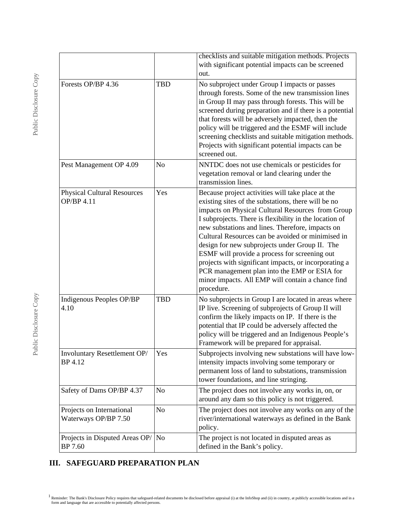|                                                   |                | checklists and suitable mitigation methods. Projects<br>with significant potential impacts can be screened<br>out.                                                                                                                                                                                                                                                                                                                                                                                                                                                                                              |  |
|---------------------------------------------------|----------------|-----------------------------------------------------------------------------------------------------------------------------------------------------------------------------------------------------------------------------------------------------------------------------------------------------------------------------------------------------------------------------------------------------------------------------------------------------------------------------------------------------------------------------------------------------------------------------------------------------------------|--|
| Forests OP/BP 4.36                                | <b>TBD</b>     | No subproject under Group I impacts or passes<br>through forests. Some of the new transmission lines<br>in Group II may pass through forests. This will be<br>screened during preparation and if there is a potential<br>that forests will be adversely impacted, then the<br>policy will be triggered and the ESMF will include<br>screening checklists and suitable mitigation methods.<br>Projects with significant potential impacts can be<br>screened out.                                                                                                                                                |  |
| Pest Management OP 4.09                           | N <sub>o</sub> | NNTDC does not use chemicals or pesticides for<br>vegetation removal or land clearing under the<br>transmission lines.                                                                                                                                                                                                                                                                                                                                                                                                                                                                                          |  |
| <b>Physical Cultural Resources</b><br>OP/BP 4.11  | Yes            | Because project activities will take place at the<br>existing sites of the substations, there will be no<br>impacts on Physical Cultural Resources from Group<br>I subprojects. There is flexibility in the location of<br>new substations and lines. Therefore, impacts on<br>Cultural Resources can be avoided or minimised in<br>design for new subprojects under Group II. The<br>ESMF will provide a process for screening out<br>projects with significant impacts, or incorporating a<br>PCR management plan into the EMP or ESIA for<br>minor impacts. All EMP will contain a chance find<br>procedure. |  |
| Indigenous Peoples OP/BP<br>4.10                  | <b>TBD</b>     | No subprojects in Group I are located in areas where<br>IP live. Screening of subprojects of Group II will<br>confirm the likely impacts on IP. If there is the<br>potential that IP could be adversely affected the<br>policy will be triggered and an Indigenous People's<br>Framework will be prepared for appraisal.                                                                                                                                                                                                                                                                                        |  |
| Involuntary Resettlement OP/<br>BP 4.12           | Yes            | Subprojects involving new substations will have low-<br>intensity impacts involving some temporary or<br>permanent loss of land to substations, transmission<br>tower foundations, and line stringing.                                                                                                                                                                                                                                                                                                                                                                                                          |  |
| Safety of Dams OP/BP 4.37                         | N <sub>o</sub> | The project does not involve any works in, on, or<br>around any dam so this policy is not triggered.                                                                                                                                                                                                                                                                                                                                                                                                                                                                                                            |  |
| Projects on International<br>Waterways OP/BP 7.50 | N <sub>o</sub> | The project does not involve any works on any of the<br>river/international waterways as defined in the Bank<br>policy.                                                                                                                                                                                                                                                                                                                                                                                                                                                                                         |  |
| Projects in Disputed Areas OP/<br>BP 7.60         | N <sub>o</sub> | The project is not located in disputed areas as<br>defined in the Bank's policy.                                                                                                                                                                                                                                                                                                                                                                                                                                                                                                                                |  |

# **III. SAFEGUARD PREPARATION PLAN**

<sup>&</sup>lt;sup>1</sup> Reminder: The Bank's Disclosure Policy requires that safeguard-related documents be disclosed before appraisal (i) at the InfoShop and (ii) in country, at publicly accessible locations and in a form and language that a